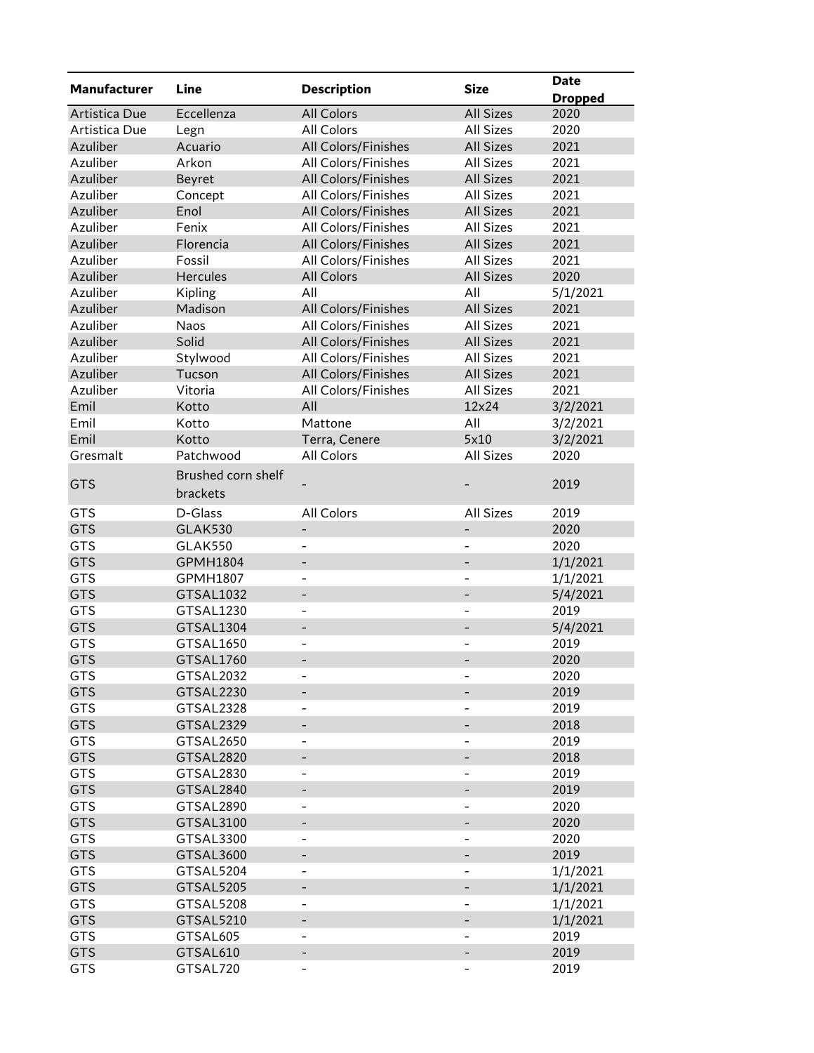| <b>Manufacturer</b>      | Line                          |                          |                              | <b>Date</b>    |
|--------------------------|-------------------------------|--------------------------|------------------------------|----------------|
|                          |                               | <b>Description</b>       | <b>Size</b>                  | <b>Dropped</b> |
| Artistica Due            | Eccellenza                    | <b>All Colors</b>        | <b>All Sizes</b>             | 2020           |
| Artistica Due            | Legn                          | All Colors               | <b>All Sizes</b>             | 2020           |
| Azuliber                 | Acuario                       | All Colors/Finishes      | <b>All Sizes</b>             | 2021           |
| Azuliber                 | Arkon                         | All Colors/Finishes      | All Sizes                    | 2021           |
| Azuliber                 | Beyret                        | All Colors/Finishes      | <b>All Sizes</b>             | 2021           |
| Azuliber                 | Concept                       | All Colors/Finishes      | All Sizes                    | 2021           |
| Azuliber                 | Enol                          | All Colors/Finishes      | <b>All Sizes</b>             | 2021           |
| Azuliber                 | Fenix                         | All Colors/Finishes      | <b>All Sizes</b>             | 2021           |
| Azuliber                 | Florencia                     | All Colors/Finishes      | <b>All Sizes</b>             | 2021           |
| Azuliber                 | Fossil                        | All Colors/Finishes      | <b>All Sizes</b>             | 2021           |
| Azuliber                 | Hercules                      | All Colors               | All Sizes                    | 2020           |
| Azuliber                 | Kipling                       | All                      | All                          | 5/1/2021       |
| Azuliber                 | Madison                       | All Colors/Finishes      | <b>All Sizes</b>             | 2021           |
| Azuliber                 | Naos                          | All Colors/Finishes      | All Sizes                    | 2021           |
| Azuliber                 | Solid                         | All Colors/Finishes      | <b>All Sizes</b>             | 2021           |
| Azuliber                 | Stylwood                      | All Colors/Finishes      | All Sizes                    | 2021           |
| Azuliber                 | Tucson                        | All Colors/Finishes      | All Sizes                    | 2021           |
| Azuliber                 | Vitoria                       | All Colors/Finishes      | <b>All Sizes</b>             | 2021           |
| Emil                     | Kotto                         | All                      | 12×24                        | 3/2/2021       |
| Emil                     | Kotto                         | Mattone                  | All                          | 3/2/2021       |
| Emil                     | Kotto                         | Terra, Cenere            | 5x10                         | 3/2/2021       |
| Gresmalt                 | Patchwood                     | All Colors               | <b>All Sizes</b>             | 2020           |
|                          | Brushed corn shelf            |                          |                              |                |
| <b>GTS</b>               | brackets                      |                          |                              | 2019           |
| <b>GTS</b>               | D-Glass                       | All Colors               | All Sizes                    | 2019           |
| <b>GTS</b>               | <b>GLAK530</b>                |                          |                              | 2020           |
| <b>GTS</b>               | GLAK550                       |                          | $\overline{a}$               | 2020           |
| <b>GTS</b>               | GPMH1804                      | $\overline{\phantom{0}}$ |                              | 1/1/2021       |
| <b>GTS</b>               | GPMH1807                      | $\overline{\phantom{a}}$ | $\overline{\phantom{0}}$     | 1/1/2021       |
| <b>GTS</b>               | GTSAL1032                     | $\overline{\phantom{0}}$ | -                            | 5/4/2021       |
| <b>GTS</b>               | GTSAL1230                     | $\overline{\phantom{a}}$ | $\overline{a}$               | 2019           |
| <b>GTS</b>               | GTSAL1304                     | $\overline{\phantom{m}}$ |                              | 5/4/2021       |
| <b>GTS</b>               | GTSAL1650                     | $\overline{\phantom{0}}$ |                              | 2019           |
| <b>GTS</b>               | GTSAL1760                     |                          | $\overline{a}$               | 2020           |
| GTS                      | GTSAL2032                     |                          |                              | 2020           |
| <b>GTS</b>               | GTSAL2230                     |                          |                              | 2019           |
| GTS                      | GTSAL2328                     |                          |                              | 2019           |
| <b>GTS</b>               | GTSAL2329                     |                          |                              | 2018           |
| GTS                      | GTSAL2650                     |                          |                              | 2019           |
| <b>GTS</b>               | GTSAL2820                     |                          |                              | 2018           |
|                          | GTSAL2830                     |                          |                              | 2019           |
| <b>GTS</b><br><b>GTS</b> | GTSAL2840                     | $\qquad \qquad -$        |                              | 2019           |
|                          |                               |                          |                              |                |
| <b>GTS</b>               | GTSAL2890<br><b>GTSAL3100</b> | $\overline{\phantom{a}}$ |                              | 2020           |
| <b>GTS</b>               | GTSAL3300                     |                          |                              | 2020           |
| GTS                      |                               | $\overline{\phantom{a}}$ | $\overline{\phantom{0}}$     | 2020           |
| <b>GTS</b>               | GTSAL3600                     | $\overline{\phantom{a}}$ | -                            | 2019           |
| GTS                      | GTSAL5204                     |                          |                              | 1/1/2021       |
| <b>GTS</b>               | GTSAL5205                     |                          |                              | 1/1/2021       |
| GTS                      | GTSAL5208                     | $\overline{\phantom{0}}$ | -                            | 1/1/2021       |
| <b>GTS</b>               | GTSAL5210                     |                          |                              | 1/1/2021       |
| GTS                      | GTSAL605                      |                          | -                            | 2019           |
| <b>GTS</b>               | GTSAL610                      |                          |                              | 2019           |
| GTS                      | GTSAL720                      | $\overline{\phantom{a}}$ | $\qquad \qquad \blacksquare$ | 2019           |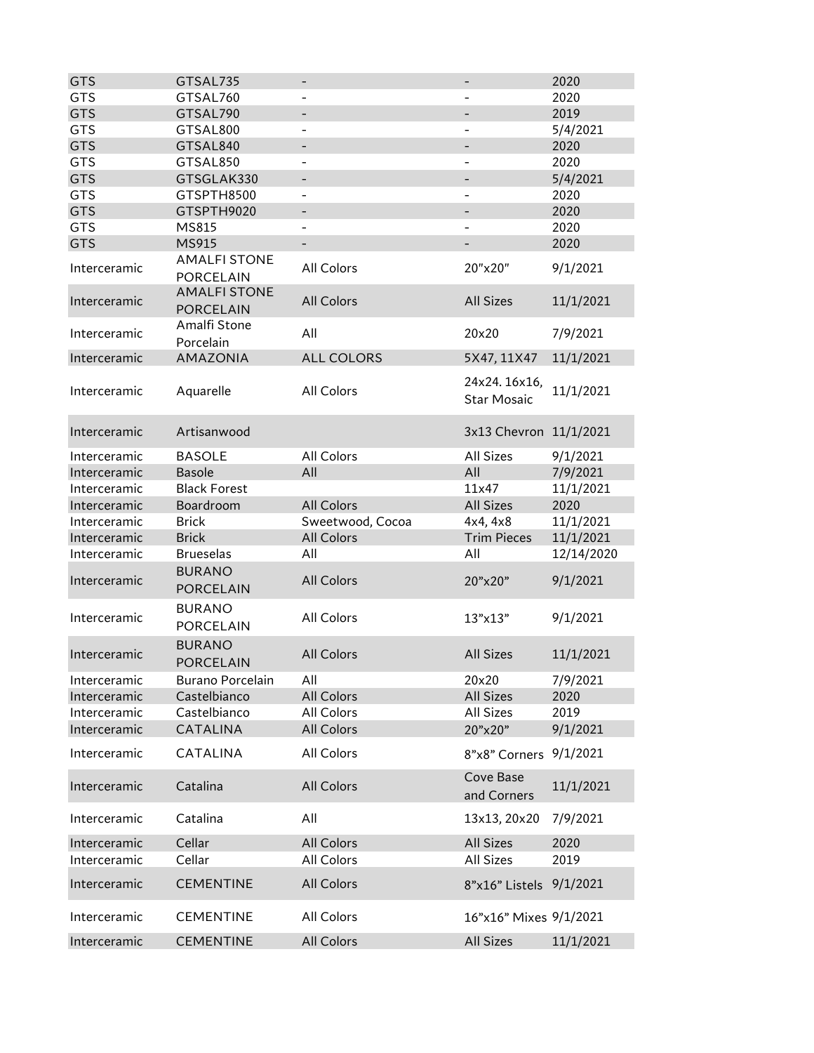| <b>GTS</b>   | GTSAL735                                | $\overline{\phantom{a}}$ | $\overline{\phantom{a}}$           | 2020       |
|--------------|-----------------------------------------|--------------------------|------------------------------------|------------|
| <b>GTS</b>   | GTSAL760                                |                          |                                    | 2020       |
| <b>GTS</b>   | GTSAL790                                |                          |                                    | 2019       |
| <b>GTS</b>   | GTSAL800                                | $\overline{a}$           |                                    | 5/4/2021   |
| <b>GTS</b>   | GTSAL840                                |                          |                                    | 2020       |
| <b>GTS</b>   | GTSAL850                                |                          |                                    | 2020       |
| <b>GTS</b>   | GTSGLAK330                              |                          |                                    | 5/4/2021   |
| <b>GTS</b>   | GTSPTH8500                              | $\overline{\phantom{a}}$ | $\overline{\phantom{a}}$           | 2020       |
| <b>GTS</b>   | GTSPTH9020                              | $\overline{\phantom{a}}$ |                                    | 2020       |
| <b>GTS</b>   | MS815                                   | $\overline{\phantom{0}}$ | $\overline{\phantom{0}}$           | 2020       |
| <b>GTS</b>   | MS915                                   | $\overline{\phantom{a}}$ | $\overline{\phantom{a}}$           | 2020       |
| Interceramic | <b>AMALFI STONE</b><br><b>PORCELAIN</b> | All Colors               | 20"x20"                            | 9/1/2021   |
| Interceramic | <b>AMALFI STONE</b><br><b>PORCELAIN</b> | <b>All Colors</b>        | <b>All Sizes</b>                   | 11/1/2021  |
| Interceramic | Amalfi Stone<br>Porcelain               | All                      | 20×20                              | 7/9/2021   |
| Interceramic | AMAZONIA                                | <b>ALL COLORS</b>        | 5X47, 11X47                        | 11/1/2021  |
| Interceramic | Aquarelle                               | All Colors               | 24x24.16x16,<br><b>Star Mosaic</b> | 11/1/2021  |
| Interceramic | Artisanwood                             |                          | 3x13 Chevron 11/1/2021             |            |
| Interceramic | <b>BASOLE</b>                           | All Colors               | <b>All Sizes</b>                   | 9/1/2021   |
| Interceramic | <b>Basole</b>                           | All                      | All                                | 7/9/2021   |
| Interceramic | <b>Black Forest</b>                     |                          | 11x47                              | 11/1/2021  |
| Interceramic | Boardroom                               | <b>All Colors</b>        | <b>All Sizes</b>                   | 2020       |
| Interceramic | <b>Brick</b>                            | Sweetwood, Cocoa         | 4x4, 4x8                           | 11/1/2021  |
| Interceramic | <b>Brick</b>                            | <b>All Colors</b>        | <b>Trim Pieces</b>                 | 11/1/2021  |
| Interceramic | <b>Brueselas</b>                        | All                      | All                                | 12/14/2020 |
| Interceramic | <b>BURANO</b><br><b>PORCELAIN</b>       | <b>All Colors</b>        | 20"x20"                            | 9/1/2021   |
| Interceramic | <b>BURANO</b><br><b>PORCELAIN</b>       | All Colors               | 13"x13"                            | 9/1/2021   |
| Interceramic | <b>BURANO</b><br><b>PORCELAIN</b>       | <b>All Colors</b>        | <b>All Sizes</b>                   | 11/1/2021  |
| Interceramic | Burano Porcelain                        | All                      | 20×20                              | 7/9/2021   |
| Interceramic | Castelbianco                            | <b>All Colors</b>        | <b>All Sizes</b>                   | 2020       |
| Interceramic | Castelbianco                            | All Colors               | All Sizes                          | 2019       |
| Interceramic | <b>CATALINA</b>                         | <b>All Colors</b>        | 20"x20"                            | 9/1/2021   |
| Interceramic | CATALINA                                | All Colors               | 8"x8" Corners                      | 9/1/2021   |
| Interceramic | Catalina                                | <b>All Colors</b>        | Cove Base<br>and Corners           | 11/1/2021  |
| Interceramic | Catalina                                | All                      | 13x13, 20x20                       | 7/9/2021   |
| Interceramic | Cellar                                  | <b>All Colors</b>        | <b>All Sizes</b>                   | 2020       |
| Interceramic | Cellar                                  | All Colors               | All Sizes                          | 2019       |
| Interceramic | <b>CEMENTINE</b>                        | All Colors               | 8"x16" Listels 9/1/2021            |            |
| Interceramic | <b>CEMENTINE</b>                        | All Colors               | 16"x16" Mixes 9/1/2021             |            |
|              |                                         |                          |                                    |            |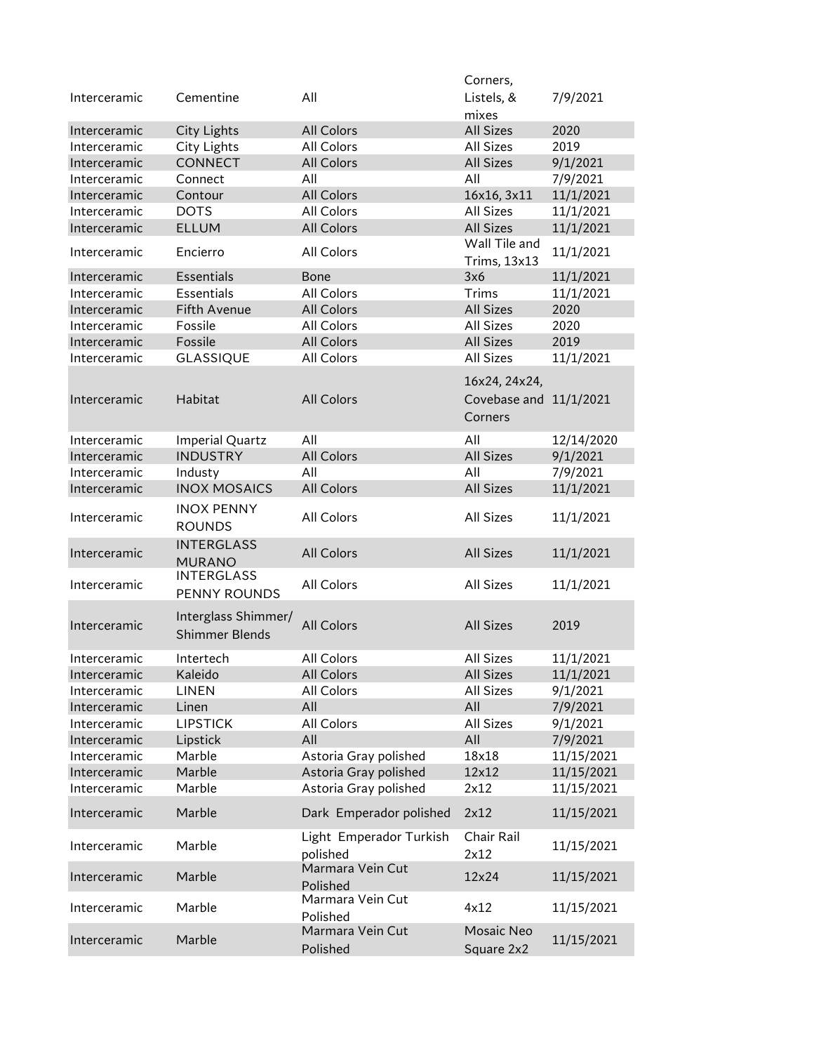|              |                                    |                                                | Corners,               |            |
|--------------|------------------------------------|------------------------------------------------|------------------------|------------|
| Interceramic | Cementine                          | All                                            | Listels, &             | 7/9/2021   |
|              |                                    |                                                | mixes                  |            |
| Interceramic | City Lights                        | All Colors                                     | <b>All Sizes</b>       | 2020       |
| Interceramic | City Lights                        | All Colors                                     | All Sizes              | 2019       |
| Interceramic | <b>CONNECT</b>                     | All Colors                                     | <b>All Sizes</b>       | 9/1/2021   |
| Interceramic | Connect                            | All                                            | All                    | 7/9/2021   |
| Interceramic | Contour                            | <b>All Colors</b>                              | 16x16, 3x11            | 11/1/2021  |
| Interceramic | <b>DOTS</b>                        | All Colors                                     | <b>All Sizes</b>       | 11/1/2021  |
| Interceramic | <b>ELLUM</b>                       | <b>All Colors</b>                              | <b>All Sizes</b>       | 11/1/2021  |
|              |                                    |                                                | Wall Tile and          |            |
| Interceramic | Encierro                           | All Colors                                     | Trims, 13x13           | 11/1/2021  |
| Interceramic | Essentials                         | <b>Bone</b>                                    | 3x6                    | 11/1/2021  |
| Interceramic | Essentials                         | All Colors                                     | Trims                  | 11/1/2021  |
| Interceramic | Fifth Avenue                       | <b>All Colors</b>                              | <b>All Sizes</b>       | 2020       |
| Interceramic | Fossile                            | All Colors                                     | All Sizes              | 2020       |
| Interceramic | Fossile                            | <b>All Colors</b>                              | <b>All Sizes</b>       | 2019       |
| Interceramic | <b>GLASSIQUE</b>                   | All Colors                                     | All Sizes              | 11/1/2021  |
|              |                                    |                                                |                        |            |
|              |                                    |                                                | 16x24, 24x24,          |            |
| Interceramic | Habitat                            | <b>All Colors</b>                              | Covebase and 11/1/2021 |            |
|              |                                    |                                                | Corners                |            |
| Interceramic | Imperial Quartz                    | All                                            | All                    | 12/14/2020 |
| Interceramic | <b>INDUSTRY</b>                    | <b>All Colors</b>                              | <b>All Sizes</b>       | 9/1/2021   |
| Interceramic | Industy                            | All                                            | All                    | 7/9/2021   |
| Interceramic | <b>INOX MOSAICS</b>                | All Colors                                     | <b>All Sizes</b>       | 11/1/2021  |
|              |                                    |                                                |                        |            |
| Interceramic | <b>INOX PENNY</b><br><b>ROUNDS</b> | All Colors                                     | <b>All Sizes</b>       | 11/1/2021  |
| Interceramic | <b>INTERGLASS</b><br><b>MURANO</b> | <b>All Colors</b>                              | <b>All Sizes</b>       | 11/1/2021  |
|              | <b>INTERGLASS</b>                  |                                                |                        |            |
| Interceramic | PENNY ROUNDS                       | All Colors                                     | All Sizes              | 11/1/2021  |
|              |                                    |                                                |                        |            |
| Interceramic | Interglass Shimmer/                | All Colors                                     | <b>All Sizes</b>       | 2019       |
|              | <b>Shimmer Blends</b>              |                                                |                        |            |
| Interceramic | Intertech                          | All Colors                                     | <b>All Sizes</b>       | 11/1/2021  |
| Interceramic | Kaleido                            | <b>All Colors</b>                              | All Sizes              | 11/1/2021  |
| Interceramic | <b>LINEN</b>                       | All Colors                                     | All Sizes              | 9/1/2021   |
| Interceramic | Linen                              | All                                            | All                    | 7/9/2021   |
| Interceramic | <b>LIPSTICK</b>                    | All Colors                                     | All Sizes              | 9/1/2021   |
| Interceramic | Lipstick                           | All                                            | All                    | 7/9/2021   |
| Interceramic | Marble                             |                                                | 18x18                  | 11/15/2021 |
|              | Marble                             | Astoria Gray polished<br>Astoria Gray polished | 12x12                  | 11/15/2021 |
| Interceramic |                                    |                                                |                        |            |
| Interceramic | Marble                             | Astoria Gray polished                          | 2x12                   | 11/15/2021 |
| Interceramic | Marble                             | Dark Emperador polished                        | 2x12                   | 11/15/2021 |
| Interceramic | Marble                             | Light Emperador Turkish<br>polished            | Chair Rail<br>2x12     | 11/15/2021 |
| Interceramic | Marble                             | Marmara Vein Cut<br>Polished                   | 12x24                  | 11/15/2021 |
|              |                                    | Marmara Vein Cut                               |                        |            |
| Interceramic | Marble                             | Polished                                       | 4x12                   | 11/15/2021 |
|              |                                    | Marmara Vein Cut                               | Mosaic Neo             |            |
| Interceramic | Marble                             | Polished                                       | Square 2x2             | 11/15/2021 |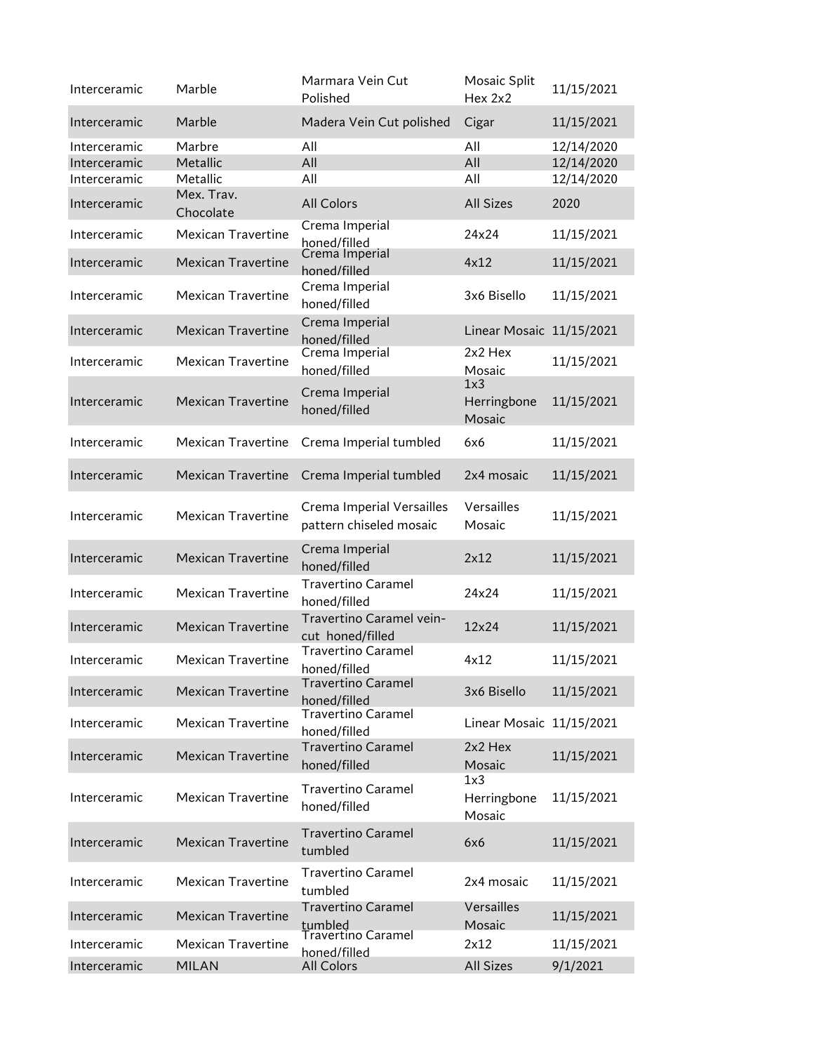| Interceramic | Marble                    | Marmara Vein Cut<br>Polished                         | Mosaic Split<br>Hex 2x2      | 11/15/2021 |
|--------------|---------------------------|------------------------------------------------------|------------------------------|------------|
| Interceramic | Marble                    | Madera Vein Cut polished                             | Cigar                        | 11/15/2021 |
| Interceramic | Marbre                    | All                                                  | All                          | 12/14/2020 |
| Interceramic | Metallic                  | All                                                  | All                          | 12/14/2020 |
| Interceramic | Metallic                  | All                                                  | All                          | 12/14/2020 |
| Interceramic | Mex. Trav.<br>Chocolate   | <b>All Colors</b>                                    | <b>All Sizes</b>             | 2020       |
| Interceramic | <b>Mexican Travertine</b> | Crema Imperial<br>honed/filled                       | 24x24                        | 11/15/2021 |
| Interceramic | <b>Mexican Travertine</b> | Crema Imperial<br>honed/filled                       | 4x12                         | 11/15/2021 |
| Interceramic | Mexican Travertine        | Crema Imperial<br>honed/filled                       | 3x6 Bisello                  | 11/15/2021 |
| Interceramic | <b>Mexican Travertine</b> | Crema Imperial<br>honed/filled                       | Linear Mosaic 11/15/2021     |            |
| Interceramic | <b>Mexican Travertine</b> | Crema Imperial<br>honed/filled                       | 2x2 Hex<br>Mosaic            | 11/15/2021 |
| Interceramic | <b>Mexican Travertine</b> | Crema Imperial<br>honed/filled                       | 1x3<br>Herringbone<br>Mosaic | 11/15/2021 |
| Interceramic | Mexican Travertine        | Crema Imperial tumbled                               | 6x6                          | 11/15/2021 |
| Interceramic | <b>Mexican Travertine</b> | Crema Imperial tumbled                               | 2x4 mosaic                   | 11/15/2021 |
| Interceramic | <b>Mexican Travertine</b> | Crema Imperial Versailles<br>pattern chiseled mosaic | Versailles<br>Mosaic         | 11/15/2021 |
| Interceramic | <b>Mexican Travertine</b> | Crema Imperial<br>honed/filled                       | 2x12                         | 11/15/2021 |
| Interceramic | <b>Mexican Travertine</b> | <b>Travertino Caramel</b><br>honed/filled            | 24x24                        | 11/15/2021 |
| Interceramic | <b>Mexican Travertine</b> | Travertino Caramel vein-<br>cut honed/filled         | 12×24                        | 11/15/2021 |
| Interceramic | <b>Mexican Travertine</b> | <b>Travertino Caramel</b><br>honed/filled            | 4x12                         | 11/15/2021 |
| Interceramic | <b>Mexican Travertine</b> | <b>Travertino Caramel</b><br>honed/filled            | 3x6 Bisello                  | 11/15/2021 |
| Interceramic | <b>Mexican Travertine</b> | <b>Travertino Caramel</b><br>honed/filled            | Linear Mosaic 11/15/2021     |            |
| Interceramic | <b>Mexican Travertine</b> | <b>Travertino Caramel</b><br>honed/filled            | $2x2$ Hex<br>Mosaic          | 11/15/2021 |
| Interceramic | <b>Mexican Travertine</b> | <b>Travertino Caramel</b><br>honed/filled            | 1x3<br>Herringbone<br>Mosaic | 11/15/2021 |
| Interceramic | <b>Mexican Travertine</b> | <b>Travertino Caramel</b><br>tumbled                 | 6x6                          | 11/15/2021 |
| Interceramic | <b>Mexican Travertine</b> | <b>Travertino Caramel</b><br>tumbled                 | 2x4 mosaic                   | 11/15/2021 |
| Interceramic | <b>Mexican Travertine</b> | <b>Travertino Caramel</b><br>tumbled                 | Versailles<br>Mosaic         | 11/15/2021 |
| Interceramic | <b>Mexican Travertine</b> | Travertino Caramel                                   | 2x12                         | 11/15/2021 |
| Interceramic | <b>MILAN</b>              | honed/filled<br><b>All Colors</b>                    | <b>All Sizes</b>             | 9/1/2021   |
|              |                           |                                                      |                              |            |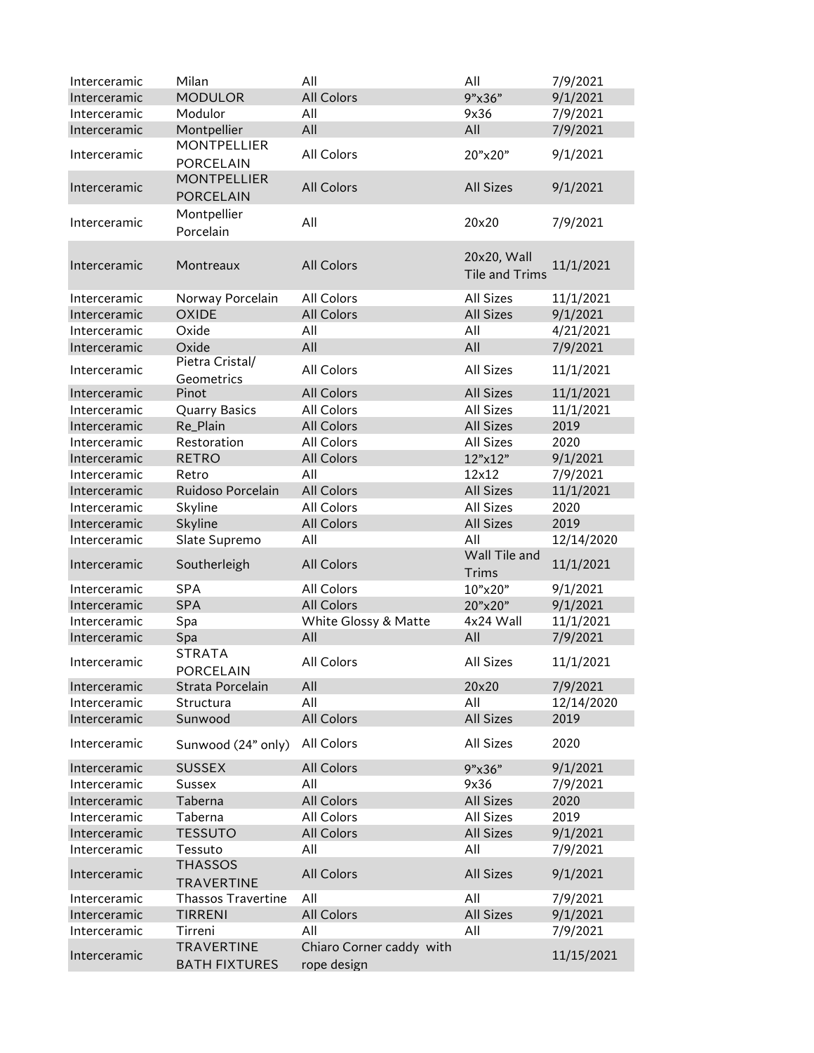| Interceramic | Milan                | All                      | All                   | 7/9/2021   |
|--------------|----------------------|--------------------------|-----------------------|------------|
| Interceramic | <b>MODULOR</b>       | <b>All Colors</b>        | 9"x36"                | 9/1/2021   |
| Interceramic | Modulor              | All                      | 9x36                  | 7/9/2021   |
| Interceramic | Montpellier          | All                      | All                   | 7/9/2021   |
|              | <b>MONTPELLIER</b>   |                          |                       |            |
| Interceramic | <b>PORCELAIN</b>     | All Colors               | 20"x20"               | 9/1/2021   |
|              | <b>MONTPELLIER</b>   |                          |                       |            |
| Interceramic | <b>PORCELAIN</b>     | <b>All Colors</b>        | <b>All Sizes</b>      | 9/1/2021   |
|              | Montpellier          |                          |                       |            |
| Interceramic | Porcelain            | All                      | 20×20                 | 7/9/2021   |
|              |                      |                          |                       |            |
| Interceramic | Montreaux            | <b>All Colors</b>        | 20x20, Wall           | 11/1/2021  |
|              |                      |                          | <b>Tile and Trims</b> |            |
| Interceramic | Norway Porcelain     | All Colors               | <b>All Sizes</b>      | 11/1/2021  |
| Interceramic | <b>OXIDE</b>         | All Colors               | <b>All Sizes</b>      | 9/1/2021   |
| Interceramic | Oxide                | All                      | All                   | 4/21/2021  |
| Interceramic | Oxide                | All                      | All                   | 7/9/2021   |
|              | Pietra Cristal/      |                          |                       |            |
| Interceramic | Geometrics           | All Colors               | <b>All Sizes</b>      | 11/1/2021  |
| Interceramic | Pinot                | All Colors               | <b>All Sizes</b>      | 11/1/2021  |
| Interceramic | <b>Quarry Basics</b> | All Colors               | <b>All Sizes</b>      | 11/1/2021  |
| Interceramic | Re_Plain             | All Colors               | <b>All Sizes</b>      | 2019       |
| Interceramic | Restoration          | All Colors               | <b>All Sizes</b>      | 2020       |
| Interceramic | <b>RETRO</b>         | All Colors               | 12"x12"               | 9/1/2021   |
| Interceramic | Retro                | All                      | 12x12                 | 7/9/2021   |
| Interceramic | Ruidoso Porcelain    | All Colors               | <b>All Sizes</b>      | 11/1/2021  |
| Interceramic | Skyline              | All Colors               | <b>All Sizes</b>      | 2020       |
| Interceramic | Skyline              | All Colors               | <b>All Sizes</b>      | 2019       |
| Interceramic | Slate Supremo        | All                      | All                   | 12/14/2020 |
|              |                      |                          | Wall Tile and         |            |
| Interceramic | Southerleigh         | <b>All Colors</b>        | Trims                 | 11/1/2021  |
| Interceramic | <b>SPA</b>           | All Colors               | 10"x20"               | 9/1/2021   |
| Interceramic | SPA                  | <b>All Colors</b>        | 20"x20"               | 9/1/2021   |
| Interceramic | Spa                  | White Glossy & Matte     | 4x24 Wall             | 11/1/2021  |
| Interceramic | Spa                  | All                      | All                   | 7/9/2021   |
|              | <b>STRATA</b>        |                          |                       |            |
| Interceramic | PORCELAIN            | All Colors               | <b>All Sizes</b>      | 11/1/2021  |
| Interceramic | Strata Porcelain     | All                      | 20×20                 | 7/9/2021   |
| Interceramic | Structura            | All                      | All                   | 12/14/2020 |
| Interceramic | Sunwood              | <b>All Colors</b>        | <b>All Sizes</b>      | 2019       |
| Interceramic | Sunwood (24" only)   | All Colors               | All Sizes             | 2020       |
|              |                      |                          |                       |            |
| Interceramic | <b>SUSSEX</b>        | All Colors               | 9"x36"                | 9/1/2021   |
| Interceramic | <b>Sussex</b>        | All                      | 9x36                  | 7/9/2021   |
| Interceramic | Taberna              | <b>All Colors</b>        | <b>All Sizes</b>      | 2020       |
| Interceramic | Taberna              | All Colors               | <b>All Sizes</b>      | 2019       |
| Interceramic | <b>TESSUTO</b>       | All Colors               | <b>All Sizes</b>      | 9/1/2021   |
| Interceramic | Tessuto              | All                      | All                   | 7/9/2021   |
| Interceramic | <b>THASSOS</b>       | All Colors               | <b>All Sizes</b>      | 9/1/2021   |
|              | <b>TRAVERTINE</b>    |                          |                       |            |
| Interceramic | Thassos Travertine   | All                      | All                   | 7/9/2021   |
| Interceramic | <b>TIRRENI</b>       | All Colors               | <b>All Sizes</b>      | 9/1/2021   |
| Interceramic | Tirreni              | All                      | All                   | 7/9/2021   |
| Interceramic | <b>TRAVERTINE</b>    | Chiaro Corner caddy with |                       | 11/15/2021 |
|              | <b>BATH FIXTURES</b> | rope design              |                       |            |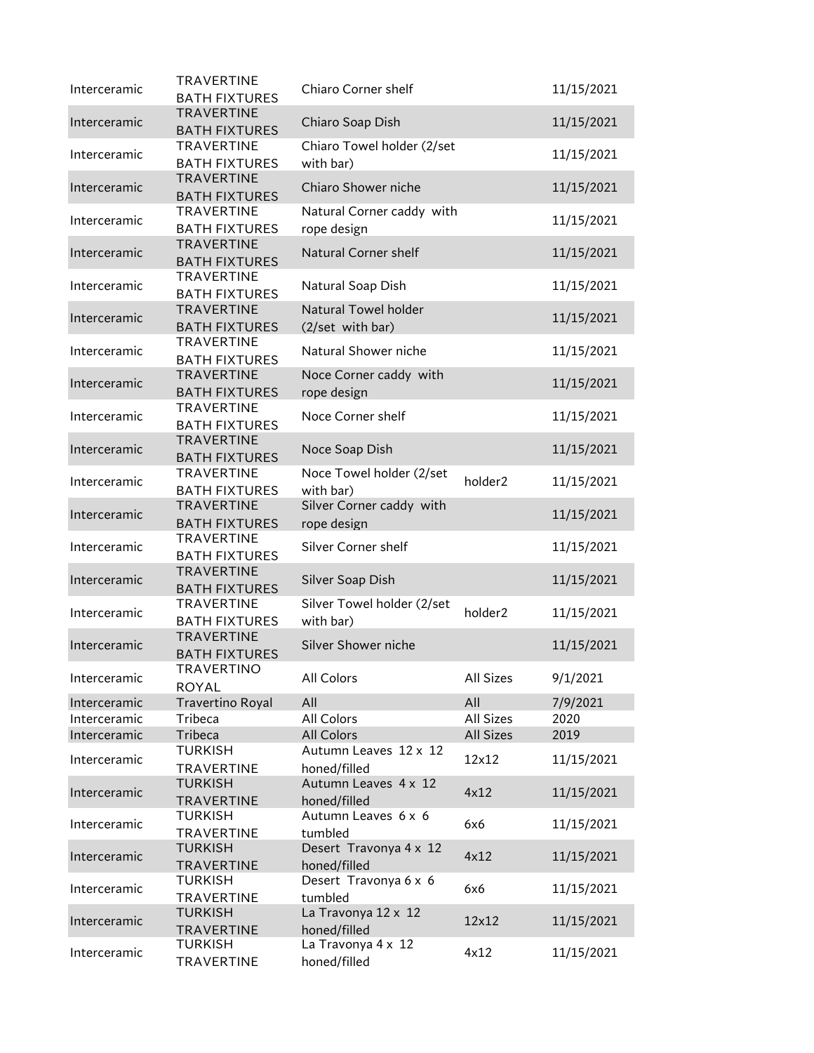| Interceramic | <b>TRAVERTINE</b><br><b>BATH FIXTURES</b> | Chiaro Corner shelf                             |                  | 11/15/2021 |
|--------------|-------------------------------------------|-------------------------------------------------|------------------|------------|
| Interceramic | <b>TRAVERTINE</b><br><b>BATH FIXTURES</b> | Chiaro Soap Dish                                |                  | 11/15/2021 |
| Interceramic | <b>TRAVERTINE</b><br><b>BATH FIXTURES</b> | Chiaro Towel holder (2/set<br>with bar)         |                  | 11/15/2021 |
| Interceramic | <b>TRAVERTINE</b><br><b>BATH FIXTURES</b> | Chiaro Shower niche                             |                  | 11/15/2021 |
| Interceramic | <b>TRAVERTINE</b><br><b>BATH FIXTURES</b> | Natural Corner caddy with<br>rope design        |                  | 11/15/2021 |
| Interceramic | <b>TRAVERTINE</b><br><b>BATH FIXTURES</b> | <b>Natural Corner shelf</b>                     |                  | 11/15/2021 |
| Interceramic | <b>TRAVERTINE</b><br><b>BATH FIXTURES</b> | Natural Soap Dish                               |                  | 11/15/2021 |
| Interceramic | <b>TRAVERTINE</b><br><b>BATH FIXTURES</b> | <b>Natural Towel holder</b><br>(2/set with bar) |                  | 11/15/2021 |
| Interceramic | <b>TRAVERTINE</b><br><b>BATH FIXTURES</b> | Natural Shower niche                            |                  | 11/15/2021 |
| Interceramic | <b>TRAVERTINE</b><br><b>BATH FIXTURES</b> | Noce Corner caddy with<br>rope design           |                  | 11/15/2021 |
| Interceramic | <b>TRAVERTINE</b><br><b>BATH FIXTURES</b> | Noce Corner shelf                               |                  | 11/15/2021 |
| Interceramic | <b>TRAVERTINE</b><br><b>BATH FIXTURES</b> | Noce Soap Dish                                  |                  | 11/15/2021 |
| Interceramic | TRAVERTINE<br><b>BATH FIXTURES</b>        | Noce Towel holder (2/set<br>with bar)           | holder2          | 11/15/2021 |
| Interceramic | <b>TRAVERTINE</b><br><b>BATH FIXTURES</b> | Silver Corner caddy with<br>rope design         |                  | 11/15/2021 |
| Interceramic | TRAVERTINE<br><b>BATH FIXTURES</b>        | Silver Corner shelf                             |                  | 11/15/2021 |
| Interceramic | <b>TRAVERTINE</b><br><b>BATH FIXTURES</b> | Silver Soap Dish                                |                  | 11/15/2021 |
| Interceramic | <b>TRAVERTINE</b><br><b>BATH FIXTURES</b> | Silver Towel holder (2/set<br>with bar)         | holder2          | 11/15/2021 |
| Interceramic | <b>TRAVERTINE</b><br><b>BATH FIXTURES</b> | Silver Shower niche                             |                  | 11/15/2021 |
| Interceramic | TRAVERTINO<br><b>ROYAL</b>                | All Colors                                      | All Sizes        | 9/1/2021   |
| Interceramic | <b>Travertino Royal</b>                   | All                                             | All              | 7/9/2021   |
| Interceramic | Tribeca                                   | All Colors                                      | <b>All Sizes</b> | 2020       |
| Interceramic | Tribeca                                   | All Colors                                      | All Sizes        | 2019       |
| Interceramic | <b>TURKISH</b><br>TRAVERTINE              | Autumn Leaves 12 x 12<br>honed/filled           | 12x12            | 11/15/2021 |
| Interceramic | <b>TURKISH</b><br><b>TRAVERTINE</b>       | Autumn Leaves 4 x 12<br>honed/filled            | 4x12             | 11/15/2021 |
| Interceramic | <b>TURKISH</b><br><b>TRAVERTINE</b>       | Autumn Leaves 6 x 6<br>tumbled                  | 6x6              | 11/15/2021 |
| Interceramic | <b>TURKISH</b><br><b>TRAVERTINE</b>       | Desert Travonya 4 x 12<br>honed/filled          | 4x12             | 11/15/2021 |
| Interceramic | <b>TURKISH</b><br><b>TRAVERTINE</b>       | Desert Travonya 6 x 6<br>tumbled                | 6x6              | 11/15/2021 |
| Interceramic | <b>TURKISH</b><br><b>TRAVERTINE</b>       | La Travonya 12 x 12<br>honed/filled             | 12x12            | 11/15/2021 |
| Interceramic | <b>TURKISH</b><br><b>TRAVERTINE</b>       | La Travonya 4 x 12<br>honed/filled              | 4x12             | 11/15/2021 |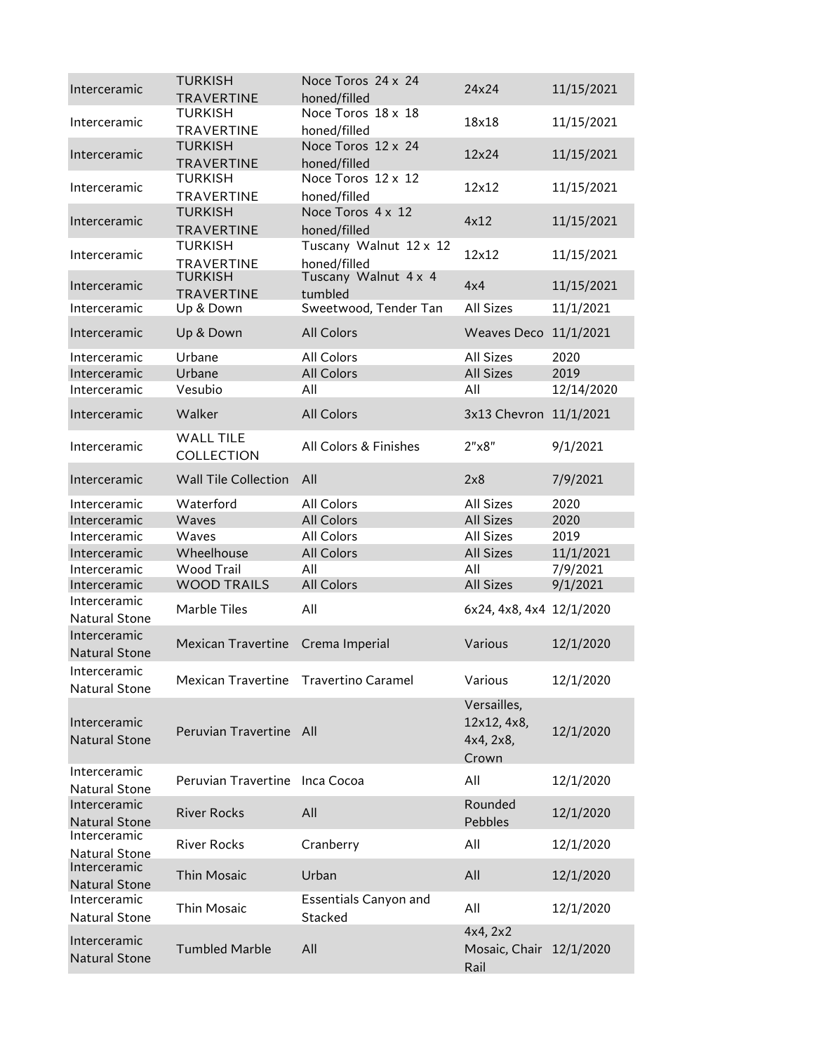| Interceramic                         | <b>TURKISH</b><br><b>TRAVERTINE</b>   | Noce Toros 24 x 24<br>honed/filled       | 24x24                                            | 11/15/2021 |
|--------------------------------------|---------------------------------------|------------------------------------------|--------------------------------------------------|------------|
| Interceramic                         | <b>TURKISH</b><br><b>TRAVERTINE</b>   | Noce Toros 18 x 18<br>honed/filled       | 18x18                                            | 11/15/2021 |
| Interceramic                         | <b>TURKISH</b><br><b>TRAVERTINE</b>   | Noce Toros 12 x 24<br>honed/filled       | 12x24                                            | 11/15/2021 |
| Interceramic                         | <b>TURKISH</b><br><b>TRAVERTINE</b>   | Noce Toros 12 x 12<br>honed/filled       | 12x12                                            | 11/15/2021 |
| Interceramic                         | <b>TURKISH</b><br><b>TRAVERTINE</b>   | Noce Toros $4 \times 12$<br>honed/filled | 4x12                                             | 11/15/2021 |
| Interceramic                         | <b>TURKISH</b><br><b>TRAVERTINE</b>   | Tuscany Walnut 12 x 12<br>honed/filled   | 12x12                                            | 11/15/2021 |
| Interceramic                         | <b>TURKISH</b><br><b>TRAVERTINE</b>   | Tuscany Walnut 4 x 4<br>tumbled          | 4x4                                              | 11/15/2021 |
| Interceramic                         | Up & Down                             | Sweetwood, Tender Tan                    | All Sizes                                        | 11/1/2021  |
| Interceramic                         | Up & Down                             | <b>All Colors</b>                        | <b>Weaves Deco</b>                               | 11/1/2021  |
| Interceramic                         | Urbane                                | All Colors                               | All Sizes                                        | 2020       |
| Interceramic                         | Urbane                                | <b>All Colors</b>                        | <b>All Sizes</b>                                 | 2019       |
| Interceramic                         | Vesubio                               | All                                      | All                                              | 12/14/2020 |
| Interceramic                         | Walker                                | <b>All Colors</b>                        | 3x13 Chevron 11/1/2021                           |            |
| Interceramic                         | <b>WALL TILE</b><br><b>COLLECTION</b> | All Colors & Finishes                    | 2"x8"                                            | 9/1/2021   |
| Interceramic                         | <b>Wall Tile Collection</b>           | All                                      | 2x8                                              | 7/9/2021   |
| Interceramic                         | Waterford                             | All Colors                               | All Sizes                                        | 2020       |
| Interceramic                         | Waves                                 | <b>All Colors</b>                        | <b>All Sizes</b>                                 | 2020       |
| Interceramic                         | Waves                                 | All Colors                               | All Sizes                                        | 2019       |
| Interceramic                         | Wheelhouse                            | <b>All Colors</b>                        | <b>All Sizes</b>                                 | 11/1/2021  |
| Interceramic                         | Wood Trail                            | All                                      | All                                              | 7/9/2021   |
| Interceramic                         | <b>WOOD TRAILS</b>                    | <b>All Colors</b>                        | <b>All Sizes</b>                                 | 9/1/2021   |
| Interceramic                         |                                       |                                          |                                                  |            |
| <b>Natural Stone</b>                 | Marble Tiles                          | All                                      | 6x24, 4x8, 4x4 12/1/2020                         |            |
| Interceramic<br><b>Natural Stone</b> | Mexican Travertine Crema Imperial     |                                          | Various                                          | 12/1/2020  |
| Interceramic<br><b>Natural Stone</b> | Mexican Travertine Travertino Caramel |                                          | Various                                          | 12/1/2020  |
| Interceramic<br><b>Natural Stone</b> | Peruvian Travertine All               |                                          | Versailles,<br>12x12, 4x8,<br>4x4, 2x8,<br>Crown | 12/1/2020  |
| Interceramic<br><b>Natural Stone</b> | Peruvian Travertine Inca Cocoa        |                                          | All                                              | 12/1/2020  |
| Interceramic<br><b>Natural Stone</b> | <b>River Rocks</b>                    | All                                      | Rounded<br>Pebbles                               | 12/1/2020  |
| Interceramic<br><b>Natural Stone</b> | <b>River Rocks</b>                    | Cranberry                                | All                                              | 12/1/2020  |
| Interceramic<br><b>Natural Stone</b> | <b>Thin Mosaic</b>                    | Urban                                    | All                                              | 12/1/2020  |
| Interceramic<br><b>Natural Stone</b> | Thin Mosaic                           | <b>Essentials Canyon and</b><br>Stacked  | All                                              | 12/1/2020  |
| Interceramic<br><b>Natural Stone</b> | <b>Tumbled Marble</b>                 | All                                      | 4x4, 2x2<br>Mosaic, Chair 12/1/2020<br>Rail      |            |
|                                      |                                       |                                          |                                                  |            |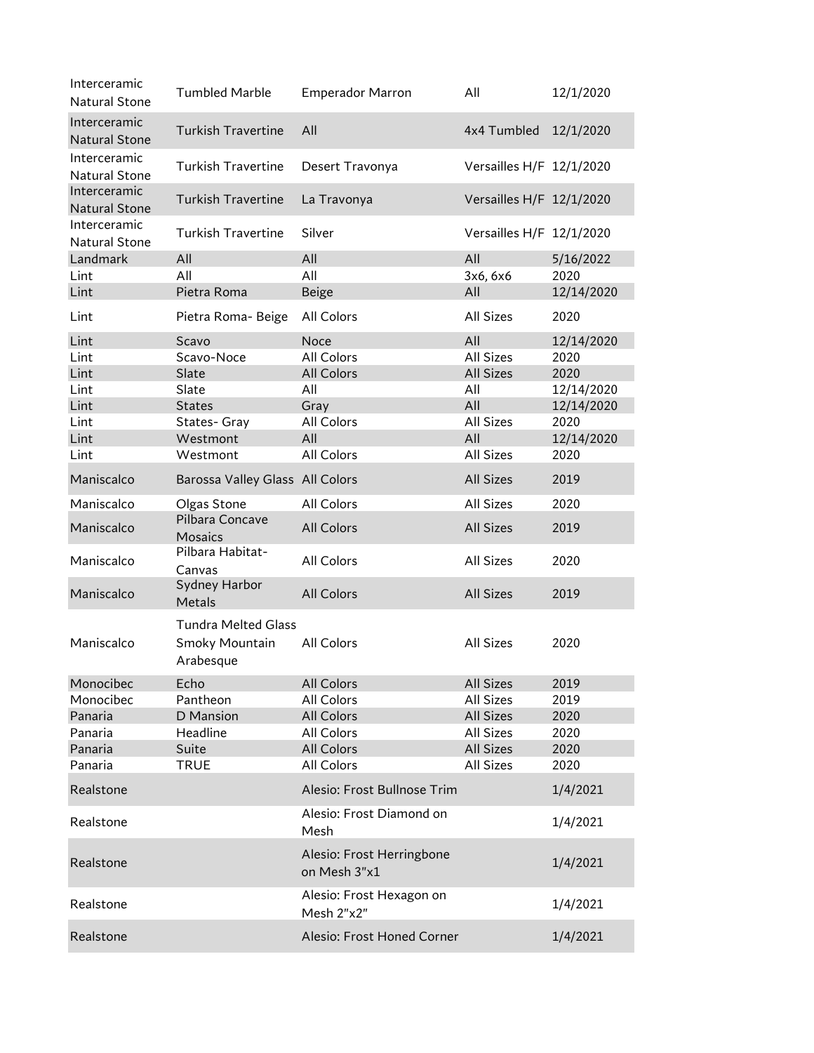| Interceramic<br><b>Natural Stone</b> | <b>Tumbled Marble</b>                                     | <b>Emperador Marron</b>                   | All                      | 12/1/2020  |
|--------------------------------------|-----------------------------------------------------------|-------------------------------------------|--------------------------|------------|
| Interceramic<br><b>Natural Stone</b> | <b>Turkish Travertine</b>                                 | All                                       | 4x4 Tumbled              | 12/1/2020  |
| Interceramic<br>Natural Stone        | <b>Turkish Travertine</b>                                 | Desert Travonya                           | Versailles H/F 12/1/2020 |            |
| Interceramic<br><b>Natural Stone</b> | <b>Turkish Travertine</b>                                 | La Travonya                               | Versailles H/F 12/1/2020 |            |
| Interceramic<br><b>Natural Stone</b> | <b>Turkish Travertine</b>                                 | Silver                                    | Versailles H/F 12/1/2020 |            |
| Landmark                             | All                                                       | All                                       | All                      | 5/16/2022  |
| Lint                                 | All                                                       | All                                       | 3x6, 6x6                 | 2020       |
| Lint                                 | Pietra Roma                                               | Beige                                     | All                      | 12/14/2020 |
| Lint                                 | Pietra Roma- Beige                                        | All Colors                                | <b>All Sizes</b>         | 2020       |
| Lint                                 | Scavo                                                     | Noce                                      | All                      | 12/14/2020 |
| Lint                                 | Scavo-Noce                                                | All Colors                                | <b>All Sizes</b>         | 2020       |
| Lint                                 | Slate                                                     | <b>All Colors</b>                         | <b>All Sizes</b>         | 2020       |
| Lint                                 | Slate                                                     | All                                       | All                      | 12/14/2020 |
| Lint                                 | <b>States</b>                                             | Gray                                      | All                      | 12/14/2020 |
| Lint                                 | States-Gray                                               | All Colors                                | <b>All Sizes</b>         | 2020       |
| Lint                                 | Westmont                                                  | All                                       | All                      | 12/14/2020 |
| Lint                                 | Westmont                                                  | All Colors                                | <b>All Sizes</b>         | 2020       |
| Maniscalco                           | Barossa Valley Glass All Colors                           |                                           | <b>All Sizes</b>         | 2019       |
| Maniscalco                           | Olgas Stone                                               | All Colors                                | <b>All Sizes</b>         | 2020       |
| Maniscalco                           | Pilbara Concave<br>Mosaics                                | <b>All Colors</b>                         | <b>All Sizes</b>         | 2019       |
| Maniscalco                           | Pilbara Habitat-<br>Canvas                                | All Colors                                | All Sizes                | 2020       |
| Maniscalco                           | Sydney Harbor<br><b>Metals</b>                            | <b>All Colors</b>                         | <b>All Sizes</b>         | 2019       |
| Maniscalco                           | <b>Tundra Melted Glass</b><br>Smoky Mountain<br>Arabesque | All Colors                                | All Sizes                | 2020       |
| Monocibec                            | Echo                                                      | All Colors                                | <b>All Sizes</b>         | 2019       |
| Monocibec                            | Pantheon                                                  | All Colors                                | <b>All Sizes</b>         | 2019       |
| Panaria                              | D Mansion                                                 | All Colors                                | <b>All Sizes</b>         | 2020       |
| Panaria                              | Headline                                                  | All Colors                                | All Sizes                | 2020       |
| Panaria                              | Suite                                                     | All Colors                                | <b>All Sizes</b>         | 2020       |
| Panaria                              | <b>TRUE</b>                                               | All Colors                                | <b>All Sizes</b>         | 2020       |
| Realstone                            |                                                           | Alesio: Frost Bullnose Trim               |                          | 1/4/2021   |
| Realstone                            |                                                           | Alesio: Frost Diamond on<br>Mesh          |                          | 1/4/2021   |
| Realstone                            |                                                           | Alesio: Frost Herringbone<br>on Mesh 3"x1 |                          | 1/4/2021   |
| Realstone                            |                                                           | Alesio: Frost Hexagon on<br>Mesh 2"x2"    |                          | 1/4/2021   |
| Realstone                            |                                                           | Alesio: Frost Honed Corner                |                          | 1/4/2021   |